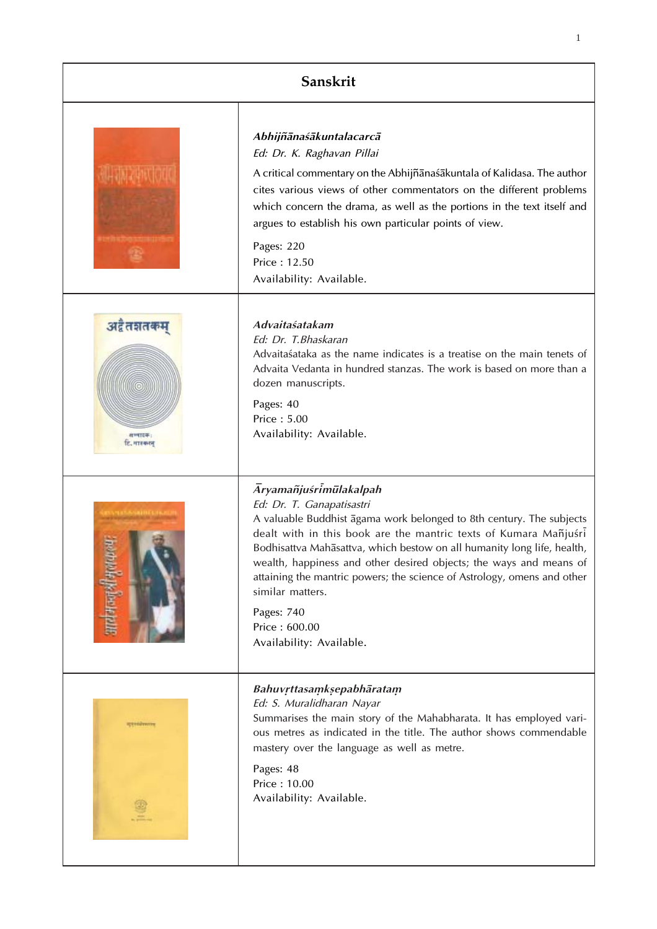| Sanskrit                            |                                                                                                                                                                                                                                                                                                                                                                                                                                                                                                                   |
|-------------------------------------|-------------------------------------------------------------------------------------------------------------------------------------------------------------------------------------------------------------------------------------------------------------------------------------------------------------------------------------------------------------------------------------------------------------------------------------------------------------------------------------------------------------------|
|                                     | Abhijñānaśākuntalacarcā<br>Ed: Dr. K. Raghavan Pillai<br>A critical commentary on the Abhijñanaśakuntala of Kalidasa. The author<br>cites various views of other commentators on the different problems<br>which concern the drama, as well as the portions in the text itself and<br>argues to establish his own particular points of view.<br>Pages: 220<br>Price: 12.50<br>Availability: Available.                                                                                                            |
| अद्वैतज्ञतकम्<br><b>C. ITTERIOR</b> | Advaitaśatakam<br>Ed: Dr. T.Bhaskaran<br>Advaita sataka as the name indicates is a treatise on the main tenets of<br>Advaita Vedanta in hundred stanzas. The work is based on more than a<br>dozen manuscripts.<br>Pages: 40<br>Price: 5.00<br>Availability: Available.                                                                                                                                                                                                                                           |
|                                     | <b>Āryamañjuśrimūlakalpah</b><br>Ed: Dr. T. Ganapatisastri<br>A valuable Buddhist agama work belonged to 8th century. The subjects<br>dealt with in this book are the mantric texts of Kumara Mañjuśri<br>Bodhisattva Mahasattva, which bestow on all humanity long life, health,<br>wealth, happiness and other desired objects; the ways and means of<br>attaining the mantric powers; the science of Astrology, omens and other<br>similar matters.<br>Pages: 740<br>Price: 600.00<br>Availability: Available. |
|                                     | Bahuvrttasamksepabhāratam<br>Ed: S. Muralidharan Nayar<br>Summarises the main story of the Mahabharata. It has employed vari-<br>ous metres as indicated in the title. The author shows commendable<br>mastery over the language as well as metre.<br>Pages: 48<br>Price: 10.00<br>Availability: Available.                                                                                                                                                                                                       |

1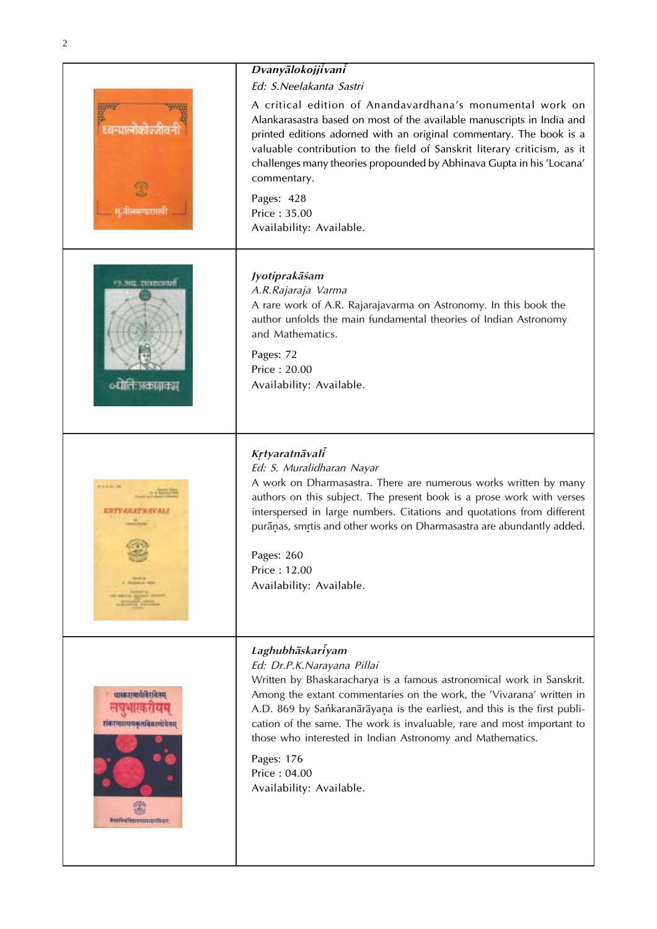| ۰. |
|----|
|    |
|    |
|    |

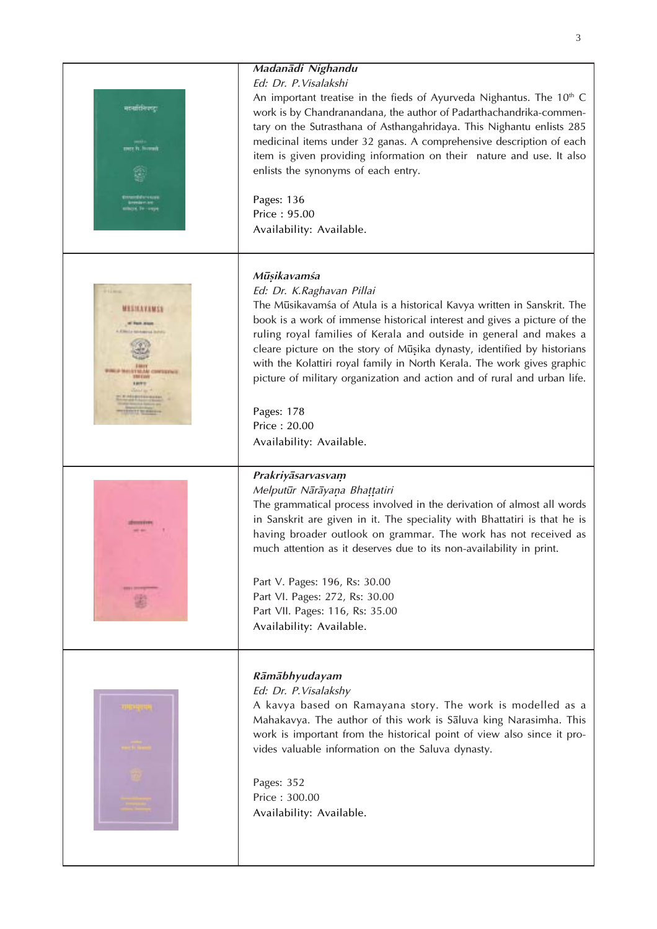